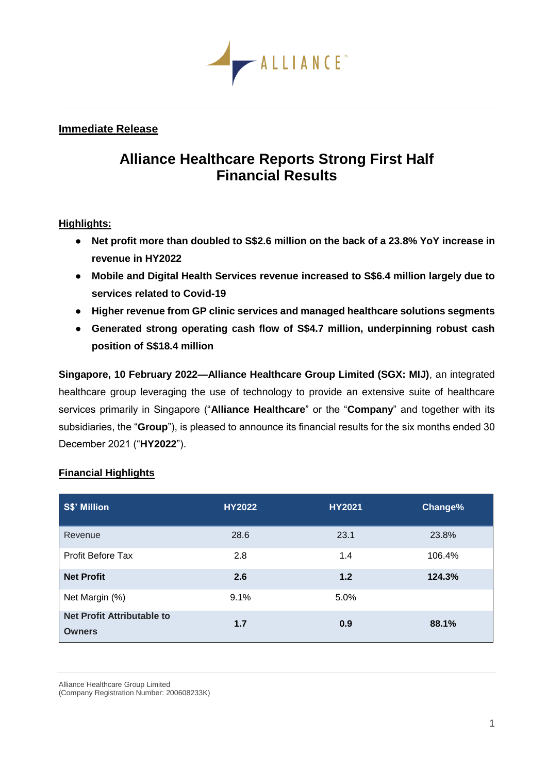

## **Immediate Release**

# **Alliance Healthcare Reports Strong First Half Financial Results**

## **Highlights:**

- **Net profit more than doubled to S\$2.6 million on the back of a 23.8% YoY increase in revenue in HY2022**
- **Mobile and Digital Health Services revenue increased to S\$6.4 million largely due to services related to Covid-19**
- **Higher revenue from GP clinic services and managed healthcare solutions segments**
- **Generated strong operating cash flow of S\$4.7 million, underpinning robust cash position of S\$18.4 million**

**Singapore, 10 February 2022—Alliance Healthcare Group Limited (SGX: MIJ)**, an integrated healthcare group leveraging the use of technology to provide an extensive suite of healthcare services primarily in Singapore ("**Alliance Healthcare**" or the "**Company**" and together with its subsidiaries, the "**Group**"), is pleased to announce its financial results for the six months ended 30 December 2021 ("**HY2022**").

# **Financial Highlights**

| S\$' Million                                       | <b>HY2022</b> | <b>HY2021</b> | Change% |
|----------------------------------------------------|---------------|---------------|---------|
| Revenue                                            | 28.6          | 23.1          | 23.8%   |
| <b>Profit Before Tax</b>                           | 2.8           | 1.4           | 106.4%  |
| <b>Net Profit</b>                                  | 2.6           | $1.2$         | 124.3%  |
| Net Margin (%)                                     | 9.1%          | 5.0%          |         |
| <b>Net Profit Attributable to</b><br><b>Owners</b> | 1.7           | 0.9           | 88.1%   |

Alliance Healthcare Group Limited

(Company Registration Number: 200608233K)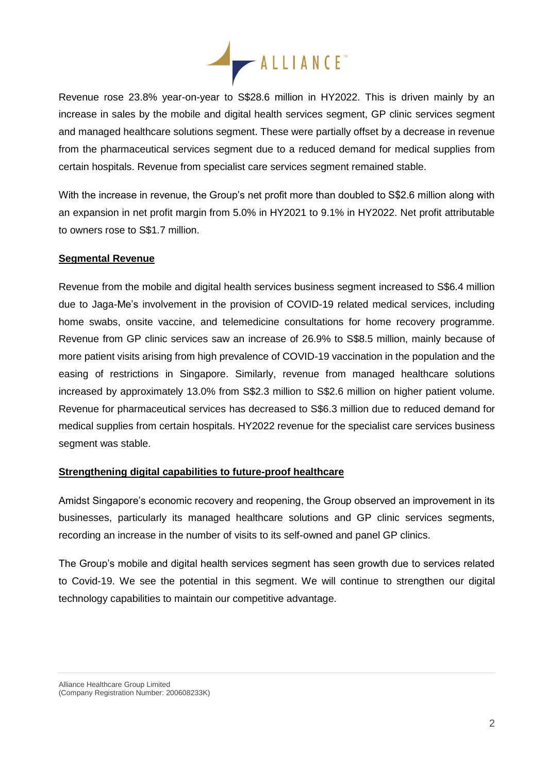

Revenue rose 23.8% year-on-year to S\$28.6 million in HY2022. This is driven mainly by an increase in sales by the mobile and digital health services segment, GP clinic services segment and managed healthcare solutions segment. These were partially offset by a decrease in revenue from the pharmaceutical services segment due to a reduced demand for medical supplies from certain hospitals. Revenue from specialist care services segment remained stable.

With the increase in revenue, the Group's net profit more than doubled to S\$2.6 million along with an expansion in net profit margin from 5.0% in HY2021 to 9.1% in HY2022. Net profit attributable to owners rose to S\$1.7 million.

## **Segmental Revenue**

Revenue from the mobile and digital health services business segment increased to S\$6.4 million due to Jaga-Me's involvement in the provision of COVID-19 related medical services, including home swabs, onsite vaccine, and telemedicine consultations for home recovery programme. Revenue from GP clinic services saw an increase of 26.9% to S\$8.5 million, mainly because of more patient visits arising from high prevalence of COVID-19 vaccination in the population and the easing of restrictions in Singapore. Similarly, revenue from managed healthcare solutions increased by approximately 13.0% from S\$2.3 million to S\$2.6 million on higher patient volume. Revenue for pharmaceutical services has decreased to S\$6.3 million due to reduced demand for medical supplies from certain hospitals. HY2022 revenue for the specialist care services business segment was stable.

#### **Strengthening digital capabilities to future-proof healthcare**

Amidst Singapore's economic recovery and reopening, the Group observed an improvement in its businesses, particularly its managed healthcare solutions and GP clinic services segments, recording an increase in the number of visits to its self-owned and panel GP clinics.

The Group's mobile and digital health services segment has seen growth due to services related to Covid-19. We see the potential in this segment. We will continue to strengthen our digital technology capabilities to maintain our competitive advantage.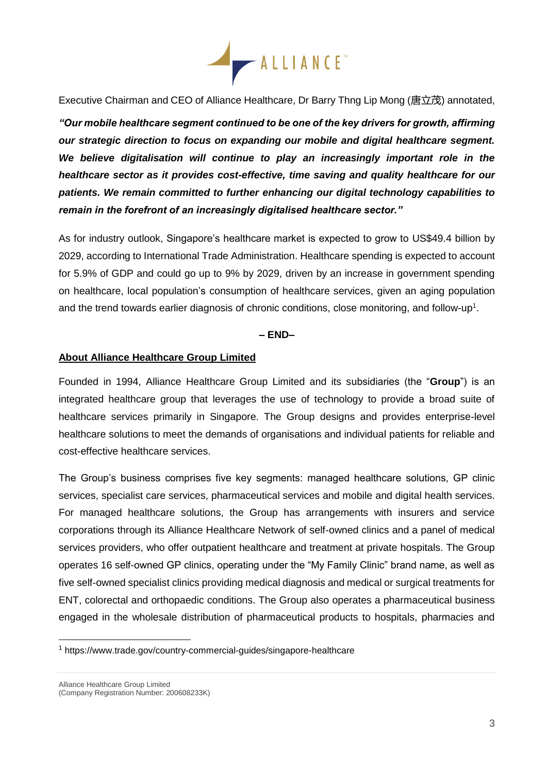

Executive Chairman and CEO of Alliance Healthcare, Dr Barry Thng Lip Mong (唐立茂) annotated,

*"Our mobile healthcare segment continued to be one of the key drivers for growth, affirming our strategic direction to focus on expanding our mobile and digital healthcare segment. We believe digitalisation will continue to play an increasingly important role in the healthcare sector as it provides cost-effective, time saving and quality healthcare for our patients. We remain committed to further enhancing our digital technology capabilities to remain in the forefront of an increasingly digitalised healthcare sector."*

As for industry outlook, Singapore's healthcare market is expected to grow to US\$49.4 billion by 2029, according to International Trade Administration. Healthcare spending is expected to account for 5.9% of GDP and could go up to 9% by 2029, driven by an increase in government spending on healthcare, local population's consumption of healthcare services, given an aging population and the trend towards earlier diagnosis of chronic conditions, close monitoring, and follow-up<sup>1</sup>.

## **– END–**

#### **About Alliance Healthcare Group Limited**

Founded in 1994, Alliance Healthcare Group Limited and its subsidiaries (the "**Group**") is an integrated healthcare group that leverages the use of technology to provide a broad suite of healthcare services primarily in Singapore. The Group designs and provides enterprise-level healthcare solutions to meet the demands of organisations and individual patients for reliable and cost-effective healthcare services.

The Group's business comprises five key segments: managed healthcare solutions, GP clinic services, specialist care services, pharmaceutical services and mobile and digital health services. For managed healthcare solutions, the Group has arrangements with insurers and service corporations through its Alliance Healthcare Network of self-owned clinics and a panel of medical services providers, who offer outpatient healthcare and treatment at private hospitals. The Group operates 16 self-owned GP clinics, operating under the "My Family Clinic" brand name, as well as five self-owned specialist clinics providing medical diagnosis and medical or surgical treatments for ENT, colorectal and orthopaedic conditions. The Group also operates a pharmaceutical business engaged in the wholesale distribution of pharmaceutical products to hospitals, pharmacies and

<sup>1</sup> https://www.trade.gov/country-commercial-guides/singapore-healthcare

Alliance Healthcare Group Limited (Company Registration Number: 200608233K)